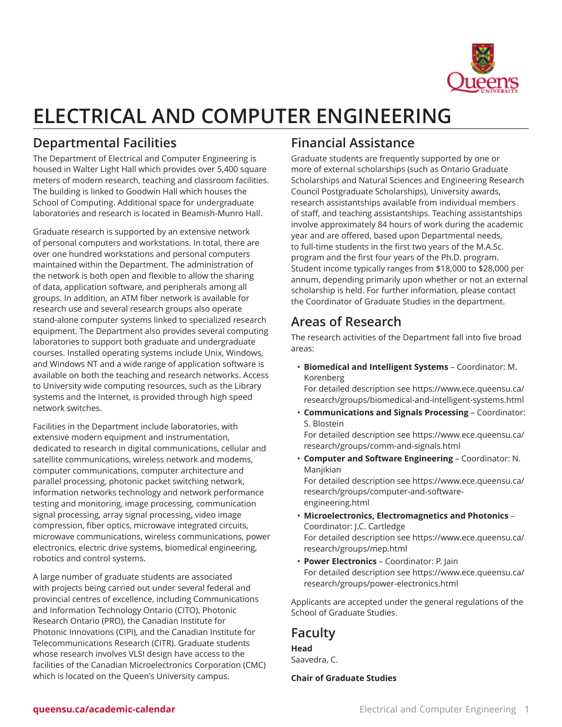

# **ELECTRICAL AND COMPUTER ENGINEERING**

# **Departmental Facilities**

The Department of Electrical and Computer Engineering is housed in Walter Light Hall which provides over 5,400 square meters of modern research, teaching and classroom facilities. The building is linked to Goodwin Hall which houses the School of Computing. Additional space for undergraduate laboratories and research is located in Beamish-Munro Hall.

Graduate research is supported by an extensive network of personal computers and workstations. In total, there are over one hundred workstations and personal computers maintained within the Department. The administration of the network is both open and flexible to allow the sharing of data, application software, and peripherals among all groups. In addition, an ATM fiber network is available for research use and several research groups also operate stand-alone computer systems linked to specialized research equipment. The Department also provides several computing laboratories to support both graduate and undergraduate courses. Installed operating systems include Unix, Windows, and Windows NT and a wide range of application software is available on both the teaching and research networks. Access to University wide computing resources, such as the Library systems and the Internet, is provided through high speed network switches.

Facilities in the Department include laboratories, with extensive modern equipment and instrumentation, dedicated to research in digital communications, cellular and satellite communications, wireless network and modems, computer communications, computer architecture and parallel processing, photonic packet switching network, information networks technology and network performance testing and monitoring, image processing, communication signal processing, array signal processing, video image compression, fiber optics, microwave integrated circuits, microwave communications, wireless communications, power electronics, electric drive systems, biomedical engineering, robotics and control systems.

A large number of graduate students are associated with projects being carried out under several federal and provincial centres of excellence, including Communications and Information Technology Ontario (CITO), Photonic Research Ontario (PRO), the Canadian Institute for Photonic Innovations (CIPI), and the Canadian Institute for Telecommunications Research (CITR). Graduate students whose research involves VLSI design have access to the facilities of the Canadian Microelectronics Corporation (CMC) which is located on the Queen's University campus.

# **Financial Assistance**

Graduate students are frequently supported by one or more of external scholarships (such as Ontario Graduate Scholarships and Natural Sciences and Engineering Research Council Postgraduate Scholarships), University awards, research assistantships available from individual members of staff, and teaching assistantships. Teaching assistantships involve approximately 84 hours of work during the academic year and are offered, based upon Departmental needs, to full-time students in the first two years of the M.A.Sc. program and the first four years of the Ph.D. program. Student income typically ranges from \$18,000 to \$28,000 per annum, depending primarily upon whether or not an external scholarship is held. For further information, please contact the Coordinator of Graduate Studies in the department.

# **Areas of Research**

The research activities of the Department fall into five broad areas:

• **Biomedical and Intelligent Systems** – Coordinator: M. Korenberg

For detailed description see [https://www.ece.queensu.ca/](https://www.ece.queensu.ca/research/groups/biomedical-and-intelligent-systems.html) [research/groups/biomedical-and-intelligent-systems.html](https://www.ece.queensu.ca/research/groups/biomedical-and-intelligent-systems.html)

• **Communications and Signals Processing** – Coordinator: S. Blostein

For detailed description see [https://www.ece.queensu.ca/](https://www.ece.queensu.ca/research/groups/comm-and-signals.html) [research/groups/comm-and-signals.html](https://www.ece.queensu.ca/research/groups/comm-and-signals.html)

- **Computer and Software Engineering** Coordinator: N. Manjikian For detailed description see [https://www.ece.queensu.ca/](https://www.ece.queensu.ca/research/groups/computer-and-software-engineering.html) [research/groups/computer-and-software](https://www.ece.queensu.ca/research/groups/computer-and-software-engineering.html)[engineering.html](https://www.ece.queensu.ca/research/groups/computer-and-software-engineering.html)
- **Microelectronics, Electromagnetics and Photonics** Coordinator: J.C. Cartledge For detailed description see [https://www.ece.queensu.ca/](https://www.ece.queensu.ca/research/groups/mep.html) [research/groups/mep.html](https://www.ece.queensu.ca/research/groups/mep.html)
- **Power Electronics** Coordinator: P. Jain For detailed description see [https://www.ece.queensu.ca/](https://www.ece.queensu.ca/research/groups/power-electronics.html) [research/groups/power-electronics.html](https://www.ece.queensu.ca/research/groups/power-electronics.html)

Applicants are accepted under the general regulations of the School of Graduate Studies.

# **Faculty**

**Head** Saavedra, C.

**Chair of Graduate Studies**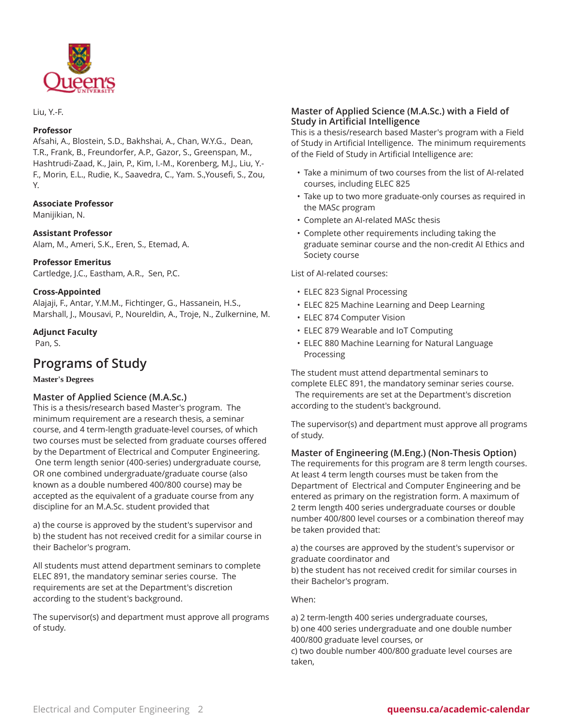

Liu, Y.-F.

#### **Professor**

Afsahi, A., Blostein, S.D., Bakhshai, A., Chan, W.Y.G., Dean, T.R., Frank, B., Freundorfer, A.P., Gazor, S., Greenspan, M., Hashtrudi-Zaad, K., Jain, P., Kim, I.-M., Korenberg, M.J., Liu, Y.- F., Morin, E.L., Rudie, K., Saavedra, C., Yam. S.,Yousefi, S., Zou, Y.

#### **Associate Professor**

Manijikian, N.

#### **Assistant Professor**

Alam, M., Ameri, S.K., Eren, S., Etemad, A.

#### **Professor Emeritus**

Cartledge, J.C., Eastham, A.R., Sen, P.C.

#### **Cross-Appointed**

Alajaji, F., Antar, Y.M.M., Fichtinger, G., Hassanein, H.S., Marshall, J., Mousavi, P., Noureldin, A., Troje, N., Zulkernine, M.

#### **Adjunct Faculty**

Pan, S.

# **Programs of Study**

#### **Master's Degrees**

#### **Master of Applied Science (M.A.Sc.)**

This is a thesis/research based Master's program. The minimum requirement are a research thesis, a seminar course, and 4 term-length graduate-level courses, of which two courses must be selected from graduate courses offered by the Department of Electrical and Computer Engineering. One term length senior (400-series) undergraduate course, OR one combined undergraduate/graduate course (also known as a double numbered 400/800 course) may be accepted as the equivalent of a graduate course from any discipline for an M.A.Sc. student provided that

a) the course is approved by the student's supervisor and b) the student has not received credit for a similar course in their Bachelor's program.

All students must attend department seminars to complete ELEC 891, the mandatory seminar series course. The requirements are set at the Department's discretion according to the student's background.

The supervisor(s) and department must approve all programs of study.

#### **Master of Applied Science (M.A.Sc.) with a Field of Study in Artificial Intelligence**

This is a thesis/research based Master's program with a Field of Study in Artificial Intelligence. The minimum requirements of the Field of Study in Artificial Intelligence are:

- Take a minimum of two courses from the list of AI-related courses, including ELEC 825
- Take up to two more graduate-only courses as required in the MASc program
- Complete an AI-related MASc thesis
- Complete other requirements including taking the graduate seminar course and the non-credit AI Ethics and Society course

List of AI-related courses:

- ELEC 823 Signal Processing
- ELEC 825 Machine Learning and Deep Learning
- ELEC 874 Computer Vision
- ELEC 879 Wearable and IoT Computing
- ELEC 880 Machine Learning for Natural Language Processing

The student must attend departmental seminars to complete ELEC 891, the mandatory seminar series course. The requirements are set at the Department's discretion according to the student's background.

The supervisor(s) and department must approve all programs of study.

**Master of Engineering (M.Eng.) (Non-Thesis Option)** The requirements for this program are 8 term length courses. At least 4 term length courses must be taken from the Department of Electrical and Computer Engineering and be entered as primary on the registration form. A maximum of 2 term length 400 series undergraduate courses or double number 400/800 level courses or a combination thereof may be taken provided that:

a) the courses are approved by the student's supervisor or graduate coordinator and

b) the student has not received credit for similar courses in their Bachelor's program.

When:

a) 2 term-length 400 series undergraduate courses, b) one 400 series undergraduate and one double number 400/800 graduate level courses, or c) two double number 400/800 graduate level courses are

taken,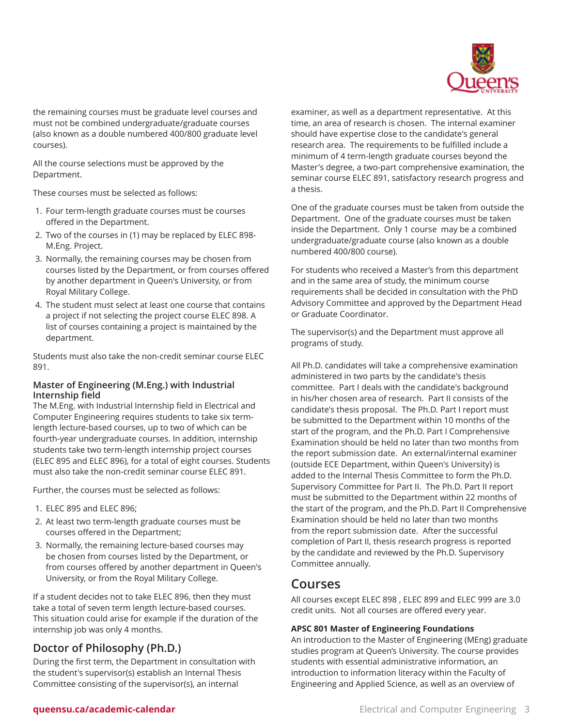

the remaining courses must be graduate level courses and must not be combined undergraduate/graduate courses (also known as a double numbered 400/800 graduate level courses).

All the course selections must be approved by the Department.

These courses must be selected as follows:

- 1. Four term-length graduate courses must be courses offered in the Department.
- 2. Two of the courses in (1) may be replaced by ELEC 898- M.Eng. Project.
- 3. Normally, the remaining courses may be chosen from courses listed by the Department, or from courses offered by another department in Queen's University, or from Royal Military College.
- 4. The student must select at least one course that contains a project if not selecting the project course ELEC 898. A list of courses containing a project is maintained by the department.

Students must also take the non-credit seminar course ELEC 891.

#### **Master of Engineering (M.Eng.) with Industrial Internship field**

The M.Eng. with Industrial Internship field in Electrical and Computer Engineering requires students to take six termlength lecture-based courses, up to two of which can be fourth-year undergraduate courses. In addition, internship students take two term-length internship project courses (ELEC 895 and ELEC 896), for a total of eight courses. Students must also take the non-credit seminar course ELEC 891.

Further, the courses must be selected as follows:

- 1. ELEC 895 and ELEC 896;
- 2. At least two term-length graduate courses must be courses offered in the Department;
- 3. Normally, the remaining lecture-based courses may be chosen from courses listed by the Department, or from courses offered by another department in Queen's University, or from the Royal Military College.

If a student decides not to take ELEC 896, then they must take a total of seven term length lecture-based courses. This situation could arise for example if the duration of the internship job was only 4 months.

## **Doctor of Philosophy (Ph.D.)**

During the first term, the Department in consultation with the student's supervisor(s) establish an Internal Thesis Committee consisting of the supervisor(s), an internal

examiner, as well as a department representative. At this time, an area of research is chosen. The internal examiner should have expertise close to the candidate's general research area. The requirements to be fulfilled include a minimum of 4 term-length graduate courses beyond the Master's degree, a two-part comprehensive examination, the seminar course ELEC 891, satisfactory research progress and a thesis.

One of the graduate courses must be taken from outside the Department. One of the graduate courses must be taken inside the Department. Only 1 course may be a combined undergraduate/graduate course (also known as a double numbered 400/800 course).

For students who received a Master's from this department and in the same area of study, the minimum course requirements shall be decided in consultation with the PhD Advisory Committee and approved by the Department Head or Graduate Coordinator.

The supervisor(s) and the Department must approve all programs of study.

All Ph.D. candidates will take a comprehensive examination administered in two parts by the candidate's thesis committee. Part I deals with the candidate's background in his/her chosen area of research. Part II consists of the candidate's thesis proposal. The Ph.D. Part I report must be submitted to the Department within 10 months of the start of the program, and the Ph.D. Part I Comprehensive Examination should be held no later than two months from the report submission date. An external/internal examiner (outside ECE Department, within Queen's University) is added to the Internal Thesis Committee to form the Ph.D. Supervisory Committee for Part II. The Ph.D. Part II report must be submitted to the Department within 22 months of the start of the program, and the Ph.D. Part II Comprehensive Examination should be held no later than two months from the report submission date. After the successful completion of Part II, thesis research progress is reported by the candidate and reviewed by the Ph.D. Supervisory Committee annually.

# **Courses**

All courses except ELEC 898 , ELEC 899 and ELEC 999 are 3.0 credit units. Not all courses are offered every year.

#### **APSC 801 Master of Engineering Foundations**

An introduction to the Master of Engineering (MEng) graduate studies program at Queen's University. The course provides students with essential administrative information, an introduction to information literacy within the Faculty of Engineering and Applied Science, as well as an overview of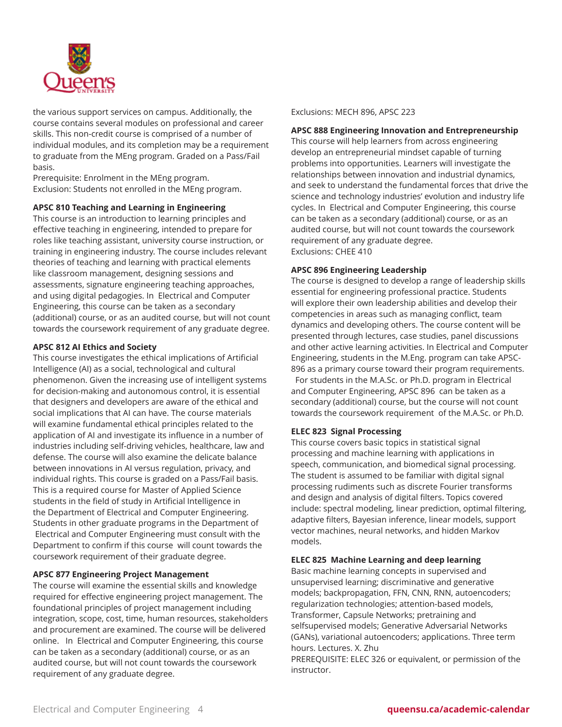

the various support services on campus. Additionally, the course contains several modules on professional and career skills. This non-credit course is comprised of a number of individual modules, and its completion may be a requirement to graduate from the MEng program. Graded on a Pass/Fail basis.

Prerequisite: Enrolment in the MEng program. Exclusion: Students not enrolled in the MEng program.

#### **APSC 810 Teaching and Learning in Engineering**

This course is an introduction to learning principles and effective teaching in engineering, intended to prepare for roles like teaching assistant, university course instruction, or training in engineering industry. The course includes relevant theories of teaching and learning with practical elements like classroom management, designing sessions and assessments, signature engineering teaching approaches, and using digital pedagogies. In Electrical and Computer Engineering, this course can be taken as a secondary (additional) course, or as an audited course, but will not count towards the coursework requirement of any graduate degree.

#### **APSC 812 AI Ethics and Society**

This course investigates the ethical implications of Artificial Intelligence (AI) as a social, technological and cultural phenomenon. Given the increasing use of intelligent systems for decision-making and autonomous control, it is essential that designers and developers are aware of the ethical and social implications that AI can have. The course materials will examine fundamental ethical principles related to the application of AI and investigate its influence in a number of industries including self-driving vehicles, healthcare, law and defense. The course will also examine the delicate balance between innovations in AI versus regulation, privacy, and individual rights. This course is graded on a Pass/Fail basis. This is a required course for Master of Applied Science students in the field of study in Artificial Intelligence in the Department of Electrical and Computer Engineering. Students in other graduate programs in the Department of Electrical and Computer Engineering must consult with the Department to confirm if this course will count towards the coursework requirement of their graduate degree.

#### **APSC 877 Engineering Project Management**

The course will examine the essential skills and knowledge required for effective engineering project management. The foundational principles of project management including integration, scope, cost, time, human resources, stakeholders and procurement are examined. The course will be delivered online. In Electrical and Computer Engineering, this course can be taken as a secondary (additional) course, or as an audited course, but will not count towards the coursework requirement of any graduate degree.

Exclusions: MECH 896, APSC 223

#### **APSC 888 Engineering Innovation and Entrepreneurship**

This course will help learners from across engineering develop an entrepreneurial mindset capable of turning problems into opportunities. Learners will investigate the relationships between innovation and industrial dynamics, and seek to understand the fundamental forces that drive the science and technology industries' evolution and industry life cycles. In Electrical and Computer Engineering, this course can be taken as a secondary (additional) course, or as an audited course, but will not count towards the coursework requirement of any graduate degree. Exclusions: CHEE 410

#### **APSC 896 Engineering Leadership**

The course is designed to develop a range of leadership skills essential for engineering professional practice. Students will explore their own leadership abilities and develop their competencies in areas such as managing conflict, team dynamics and developing others. The course content will be presented through lectures, case studies, panel discussions and other active learning activities. In Electrical and Computer Engineering, students in the M.Eng. program can take APSC-896 as a primary course toward their program requirements. For students in the M.A.Sc. or Ph.D. program in Electrical and Computer Engineering, APSC 896 can be taken as a secondary (additional) course, but the course will not count towards the coursework requirement of the M.A.Sc. or Ph.D.

#### **ELEC 823 Signal Processing**

This course covers basic topics in statistical signal processing and machine learning with applications in speech, communication, and biomedical signal processing. The student is assumed to be familiar with digital signal processing rudiments such as discrete Fourier transforms and design and analysis of digital filters. Topics covered include: spectral modeling, linear prediction, optimal filtering, adaptive filters, Bayesian inference, linear models, support vector machines, neural networks, and hidden Markov models.

#### **ELEC 825 Machine Learning and deep learning**

Basic machine learning concepts in supervised and unsupervised learning; discriminative and generative models; backpropagation, FFN, CNN, RNN, autoencoders; regularization technologies; attention-based models, Transformer, Capsule Networks; pretraining and selfsupervised models; Generative Adversarial Networks (GANs), variational autoencoders; applications. Three term hours. Lectures. X. Zhu

PREREQUISITE: ELEC 326 or equivalent, or permission of the instructor.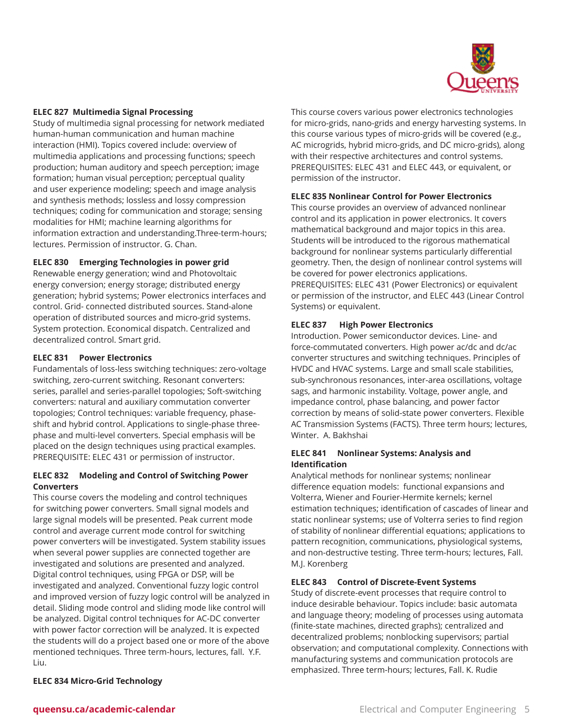

#### **ELEC 827 Multimedia Signal Processing**

Study of multimedia signal processing for network mediated human-human communication and human machine interaction (HMI). Topics covered include: overview of multimedia applications and processing functions; speech production; human auditory and speech perception; image formation; human visual perception; perceptual quality and user experience modeling; speech and image analysis and synthesis methods; lossless and lossy compression techniques; coding for communication and storage; sensing modalities for HMI; machine learning algorithms for information extraction and understanding.Three-term-hours; lectures. Permission of instructor. G. Chan.

#### **ELEC 830 Emerging Technologies in power grid**

Renewable energy generation; wind and Photovoltaic energy conversion; energy storage; distributed energy generation; hybrid systems; Power electronics interfaces and control. Grid- connected distributed sources. Stand-alone operation of distributed sources and micro-grid systems. System protection. Economical dispatch. Centralized and decentralized control. Smart grid.

#### **ELEC 831 Power Electronics**

Fundamentals of loss-less switching techniques: zero-voltage switching, zero-current switching. Resonant converters: series, parallel and series-parallel topologies; Soft-switching converters: natural and auxiliary commutation converter topologies; Control techniques: variable frequency, phaseshift and hybrid control. Applications to single-phase threephase and multi-level converters. Special emphasis will be placed on the design techniques using practical examples. PREREQUISITE: ELEC 431 or permission of instructor.

#### **ELEC 832 Modeling and Control of Switching Power Converters**

This course covers the modeling and control techniques for switching power converters. Small signal models and large signal models will be presented. Peak current mode control and average current mode control for switching power converters will be investigated. System stability issues when several power supplies are connected together are investigated and solutions are presented and analyzed. Digital control techniques, using FPGA or DSP, will be investigated and analyzed. Conventional fuzzy logic control and improved version of fuzzy logic control will be analyzed in detail. Sliding mode control and sliding mode like control will be analyzed. Digital control techniques for AC-DC converter with power factor correction will be analyzed. It is expected the students will do a project based one or more of the above mentioned techniques. Three term-hours, lectures, fall. Y.F. Liu.

This course covers various power electronics technologies for micro-grids, nano-grids and energy harvesting systems. In this course various types of micro-grids will be covered (e.g., AC microgrids, hybrid micro-grids, and DC micro-grids), along with their respective architectures and control systems. PREREQUISITES: ELEC 431 and ELEC 443, or equivalent, or permission of the instructor.

#### **ELEC 835 Nonlinear Control for Power Electronics**

This course provides an overview of advanced nonlinear control and its application in power electronics. It covers mathematical background and major topics in this area. Students will be introduced to the rigorous mathematical background for nonlinear systems particularly differential geometry. Then, the design of nonlinear control systems will be covered for power electronics applications. PREREQUISITES: ELEC 431 (Power Electronics) or equivalent or permission of the instructor, and ELEC 443 (Linear Control Systems) or equivalent.

#### **ELEC 837 High Power Electronics**

Introduction. Power semiconductor devices. Line- and force-commutated converters. High power ac/dc and dc/ac converter structures and switching techniques. Principles of HVDC and HVAC systems. Large and small scale stabilities, sub-synchronous resonances, inter-area oscillations, voltage sags, and harmonic instability. Voltage, power angle, and impedance control, phase balancing, and power factor correction by means of solid-state power converters. Flexible AC Transmission Systems (FACTS). Three term hours; lectures, Winter. A. Bakhshai

#### **ELEC 841 Nonlinear Systems: Analysis and Identification**

Analytical methods for nonlinear systems; nonlinear difference equation models: functional expansions and Volterra, Wiener and Fourier-Hermite kernels; kernel estimation techniques; identification of cascades of linear and static nonlinear systems; use of Volterra series to find region of stability of nonlinear differential equations; applications to pattern recognition, communications, physiological systems, and non-destructive testing. Three term-hours; lectures, Fall. M.J. Korenberg

#### **ELEC 843 Control of Discrete-Event Systems**

Study of discrete-event processes that require control to induce desirable behaviour. Topics include: basic automata and language theory; modeling of processes using automata (finite-state machines, directed graphs); centralized and decentralized problems; nonblocking supervisors; partial observation; and computational complexity. Connections with manufacturing systems and communication protocols are emphasized. Three term-hours; lectures, Fall. K. Rudie

#### **ELEC 834 Micro-Grid Technology**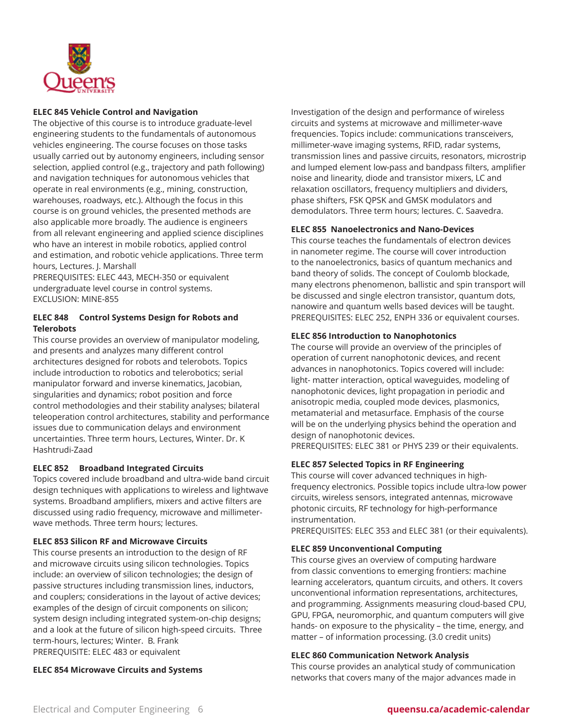

#### **ELEC 845 Vehicle Control and Navigation**

The objective of this course is to introduce graduate-level engineering students to the fundamentals of autonomous vehicles engineering. The course focuses on those tasks usually carried out by autonomy engineers, including sensor selection, applied control (e.g., trajectory and path following) and navigation techniques for autonomous vehicles that operate in real environments (e.g., mining, construction, warehouses, roadways, etc.). Although the focus in this course is on ground vehicles, the presented methods are also applicable more broadly. The audience is engineers from all relevant engineering and applied science disciplines who have an interest in mobile robotics, applied control and estimation, and robotic vehicle applications. Three term hours, Lectures. J. Marshall

PREREQUISITES: ELEC 443, MECH-350 or equivalent undergraduate level course in control systems. EXCLUSION: MINE-855

#### **ELEC 848 Control Systems Design for Robots and Telerobots**

This course provides an overview of manipulator modeling, and presents and analyzes many different control architectures designed for robots and telerobots. Topics include introduction to robotics and telerobotics; serial manipulator forward and inverse kinematics, Jacobian, singularities and dynamics; robot position and force control methodologies and their stability analyses; bilateral teleoperation control architectures, stability and performance issues due to communication delays and environment uncertainties. Three term hours, Lectures, Winter. Dr. K Hashtrudi-Zaad

#### **ELEC 852 Broadband Integrated Circuits**

Topics covered include broadband and ultra-wide band circuit design techniques with applications to wireless and lightwave systems. Broadband amplifiers, mixers and active filters are discussed using radio frequency, microwave and millimeterwave methods. Three term hours; lectures.

#### **ELEC 853 Silicon RF and Microwave Circuits**

This course presents an introduction to the design of RF and microwave circuits using silicon technologies. Topics include: an overview of silicon technologies; the design of passive structures including transmission lines, inductors, and couplers; considerations in the layout of active devices; examples of the design of circuit components on silicon; system design including integrated system-on-chip designs; and a look at the future of silicon high-speed circuits. Three term-hours, lectures; Winter. B. Frank PREREQUISITE: ELEC 483 or equivalent

#### **ELEC 854 Microwave Circuits and Systems**

Investigation of the design and performance of wireless circuits and systems at microwave and millimeter-wave frequencies. Topics include: communications transceivers, millimeter-wave imaging systems, RFID, radar systems, transmission lines and passive circuits, resonators, microstrip and lumped element low-pass and bandpass filters, amplifier noise and linearity, diode and transistor mixers, LC and relaxation oscillators, frequency multipliers and dividers, phase shifters, FSK QPSK and GMSK modulators and demodulators. Three term hours; lectures. C. Saavedra.

#### **ELEC 855 Nanoelectronics and Nano-Devices**

This course teaches the fundamentals of electron devices in nanometer regime. The course will cover introduction to the nanoelectronics, basics of quantum mechanics and band theory of solids. The concept of Coulomb blockade, many electrons phenomenon, ballistic and spin transport will be discussed and single electron transistor, quantum dots, nanowire and quantum wells based devices will be taught. PREREQUISITES: ELEC 252, ENPH 336 or equivalent courses.

#### **ELEC 856 Introduction to Nanophotonics**

The course will provide an overview of the principles of operation of current nanophotonic devices, and recent advances in nanophotonics. Topics covered will include: light- matter interaction, optical waveguides, modeling of nanophotonic devices, light propagation in periodic and anisotropic media, coupled mode devices, plasmonics, metamaterial and metasurface. Emphasis of the course will be on the underlying physics behind the operation and design of nanophotonic devices. PREREQUISITES: ELEC 381 or PHYS 239 or their equivalents.

#### **ELEC 857 Selected Topics in RF Engineering**

This course will cover advanced techniques in highfrequency electronics. Possible topics include ultra-low power circuits, wireless sensors, integrated antennas, microwave photonic circuits, RF technology for high-performance instrumentation.

PREREQUISITES: ELEC 353 and ELEC 381 (or their equivalents).

#### **ELEC 859 Unconventional Computing**

This course gives an overview of computing hardware from classic conventions to emerging frontiers: machine learning accelerators, quantum circuits, and others. It covers unconventional information representations, architectures, and programming. Assignments measuring cloud-based CPU, GPU, FPGA, neuromorphic, and quantum computers will give hands- on exposure to the physicality – the time, energy, and matter – of information processing. (3.0 credit units)

#### **ELEC 860 Communication Network Analysis**

This course provides an analytical study of communication networks that covers many of the major advances made in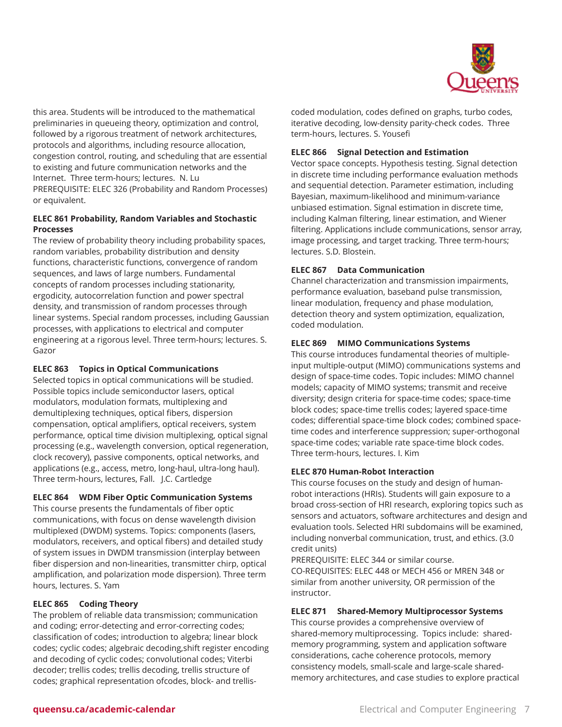

this area. Students will be introduced to the mathematical preliminaries in queueing theory, optimization and control, followed by a rigorous treatment of network architectures, protocols and algorithms, including resource allocation, congestion control, routing, and scheduling that are essential to existing and future communication networks and the Internet. Three term-hours; lectures. N. Lu PREREQUISITE: ELEC 326 (Probability and Random Processes) or equivalent.

#### **ELEC 861 Probability, Random Variables and Stochastic Processes**

The review of probability theory including probability spaces, random variables, probability distribution and density functions, characteristic functions, convergence of random sequences, and laws of large numbers. Fundamental concepts of random processes including stationarity, ergodicity, autocorrelation function and power spectral density, and transmission of random processes through linear systems. Special random processes, including Gaussian processes, with applications to electrical and computer engineering at a rigorous level. Three term-hours; lectures. S. Gazor

#### **ELEC 863 Topics in Optical Communications**

Selected topics in optical communications will be studied. Possible topics include semiconductor lasers, optical modulators, modulation formats, multiplexing and demultiplexing techniques, optical fibers, dispersion compensation, optical amplifiers, optical receivers, system performance, optical time division multiplexing, optical signal processing (e.g., wavelength conversion, optical regeneration, clock recovery), passive components, optical networks, and applications (e.g., access, metro, long-haul, ultra-long haul). Three term-hours, lectures, Fall. J.C. Cartledge

### **ELEC 864 WDM Fiber Optic Communication Systems**

This course presents the fundamentals of fiber optic communications, with focus on dense wavelength division multiplexed (DWDM) systems. Topics: components (lasers, modulators, receivers, and optical fibers) and detailed study of system issues in DWDM transmission (interplay between fiber dispersion and non-linearities, transmitter chirp, optical amplification, and polarization mode dispersion). Three term hours, lectures. S. Yam

#### **ELEC 865 Coding Theory**

The problem of reliable data transmission; communication and coding; error-detecting and error-correcting codes; classification of codes; introduction to algebra; linear block codes; cyclic codes; algebraic decoding,shift register encoding and decoding of cyclic codes; convolutional codes; Viterbi decoder; trellis codes; trellis decoding, trellis structure of codes; graphical representation ofcodes, block- and trellis-

coded modulation, codes defined on graphs, turbo codes, iterative decoding, low-density parity-check codes. Three term-hours, lectures. S. Yousefi

#### **ELEC 866 Signal Detection and Estimation**

Vector space concepts. Hypothesis testing. Signal detection in discrete time including performance evaluation methods and sequential detection. Parameter estimation, including Bayesian, maximum-likelihood and minimum-variance unbiased estimation. Signal estimation in discrete time, including Kalman filtering, linear estimation, and Wiener filtering. Applications include communications, sensor array, image processing, and target tracking. Three term-hours; lectures. S.D. Blostein.

#### **ELEC 867 Data Communication**

Channel characterization and transmission impairments, performance evaluation, baseband pulse transmission, linear modulation, frequency and phase modulation, detection theory and system optimization, equalization, coded modulation.

#### **ELEC 869 MIMO Communications Systems**

This course introduces fundamental theories of multipleinput multiple-output (MIMO) communications systems and design of space-time codes. Topic includes: MIMO channel models; capacity of MIMO systems; transmit and receive diversity; design criteria for space-time codes; space-time block codes; space-time trellis codes; layered space-time codes; differential space-time block codes; combined spacetime codes and interference suppression; super-orthogonal space-time codes; variable rate space-time block codes. Three term-hours, lectures. I. Kim

#### **ELEC 870 Human-Robot Interaction**

This course focuses on the study and design of humanrobot interactions (HRIs). Students will gain exposure to a broad cross-section of HRI research, exploring topics such as sensors and actuators, software architectures and design and evaluation tools. Selected HRI subdomains will be examined, including nonverbal communication, trust, and ethics. (3.0 credit units)

PREREQUISITE: ELEC 344 or similar course. CO-REQUISITES: ELEC 448 or MECH 456 or MREN 348 or similar from another university, OR permission of the instructor.

### **ELEC 871 Shared-Memory Multiprocessor Systems**

This course provides a comprehensive overview of shared-memory multiprocessing. Topics include: sharedmemory programming, system and application software considerations, cache coherence protocols, memory consistency models, small-scale and large-scale sharedmemory architectures, and case studies to explore practical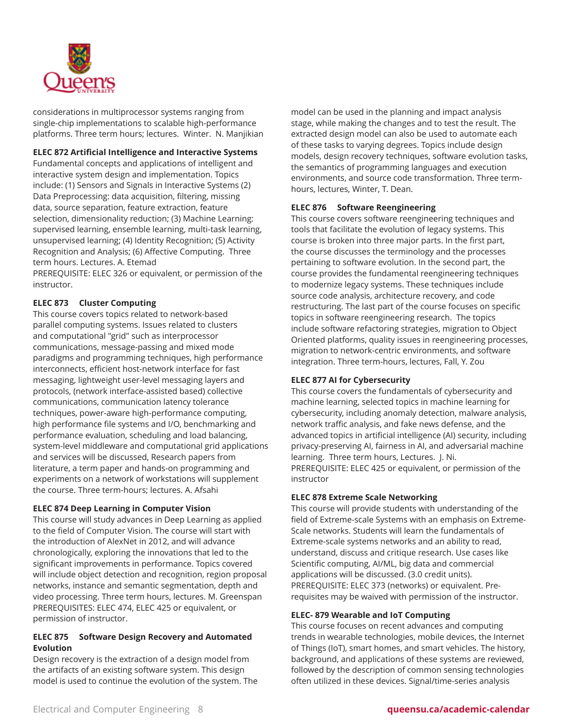

considerations in multiprocessor systems ranging from single-chip implementations to scalable high-performance platforms. Three term hours; lectures. Winter. N. Manjikian

#### **ELEC 872 Artificial Intelligence and Interactive Systems**

Fundamental concepts and applications of intelligent and interactive system design and implementation. Topics include: (1) Sensors and Signals in Interactive Systems (2) Data Preprocessing: data acquisition, filtering, missing data, source separation, feature extraction, feature selection, dimensionality reduction; (3) Machine Learning: supervised learning, ensemble learning, multi-task learning, unsupervised learning; (4) Identity Recognition; (5) Activity Recognition and Analysis; (6) Affective Computing. Three term hours. Lectures. A. Etemad

PREREQUISITE: ELEC 326 or equivalent, or permission of the instructor.

#### **ELEC 873 Cluster Computing**

This course covers topics related to network-based parallel computing systems. Issues related to clusters and computational "grid" such as interprocessor communications, message-passing and mixed mode paradigms and programming techniques, high performance interconnects, efficient host-network interface for fast messaging, lightweight user-level messaging layers and protocols, (network interface-assisted based) collective communications, communication latency tolerance techniques, power-aware high-performance computing, high performance file systems and I/O, benchmarking and performance evaluation, scheduling and load balancing, system-level middleware and computational grid applications and services will be discussed, Research papers from literature, a term paper and hands-on programming and experiments on a network of workstations will supplement the course. Three term-hours; lectures. A. Afsahi

#### **ELEC 874 Deep Learning in Computer Vision**

This course will study advances in Deep Learning as applied to the field of Computer Vision. The course will start with the introduction of AlexNet in 2012, and will advance chronologically, exploring the innovations that led to the significant improvements in performance. Topics covered will include object detection and recognition, region proposal networks, instance and semantic segmentation, depth and video processing. Three term hours, lectures. M. Greenspan PREREQUISITES: ELEC 474, ELEC 425 or equivalent, or permission of instructor.

#### **ELEC 875 Software Design Recovery and Automated Evolution**

Design recovery is the extraction of a design model from the artifacts of an existing software system. This design model is used to continue the evolution of the system. The

model can be used in the planning and impact analysis stage, while making the changes and to test the result. The extracted design model can also be used to automate each of these tasks to varying degrees. Topics include design models, design recovery techniques, software evolution tasks, the semantics of programming languages and execution environments, and source code transformation. Three termhours, lectures, Winter, T. Dean.

#### **ELEC 876 Software Reengineering**

This course covers software reengineering techniques and tools that facilitate the evolution of legacy systems. This course is broken into three major parts. In the first part, the course discusses the terminology and the processes pertaining to software evolution. In the second part, the course provides the fundamental reengineering techniques to modernize legacy systems. These techniques include source code analysis, architecture recovery, and code restructuring. The last part of the course focuses on specific topics in software reengineering research. The topics include software refactoring strategies, migration to Object Oriented platforms, quality issues in reengineering processes, migration to network-centric environments, and software integration. Three term-hours, lectures, Fall, Y. Zou

#### **ELEC 877 AI for Cybersecurity**

This course covers the fundamentals of cybersecurity and machine learning, selected topics in machine learning for cybersecurity, including anomaly detection, malware analysis, network traffic analysis, and fake news defense, and the advanced topics in artificial intelligence (AI) security, including privacy-preserving AI, fairness in AI, and adversarial machine learning. Three term hours, Lectures. J. Ni. PREREQUISITE: ELEC 425 or equivalent, or permission of the instructor

#### **ELEC 878 Extreme Scale Networking**

This course will provide students with understanding of the field of Extreme-scale Systems with an emphasis on Extreme-Scale networks. Students will learn the fundamentals of Extreme-scale systems networks and an ability to read, understand, discuss and critique research. Use cases like Scientific computing, AI/ML, big data and commercial applications will be discussed. (3.0 credit units). PREREQUISITE: ELEC 373 (networks) or equivalent. Prerequisites may be waived with permission of the instructor.

#### **ELEC- 879 Wearable and IoT Computing**

This course focuses on recent advances and computing trends in wearable technologies, mobile devices, the Internet of Things (IoT), smart homes, and smart vehicles. The history, background, and applications of these systems are reviewed, followed by the description of common sensing technologies often utilized in these devices. Signal/time-series analysis